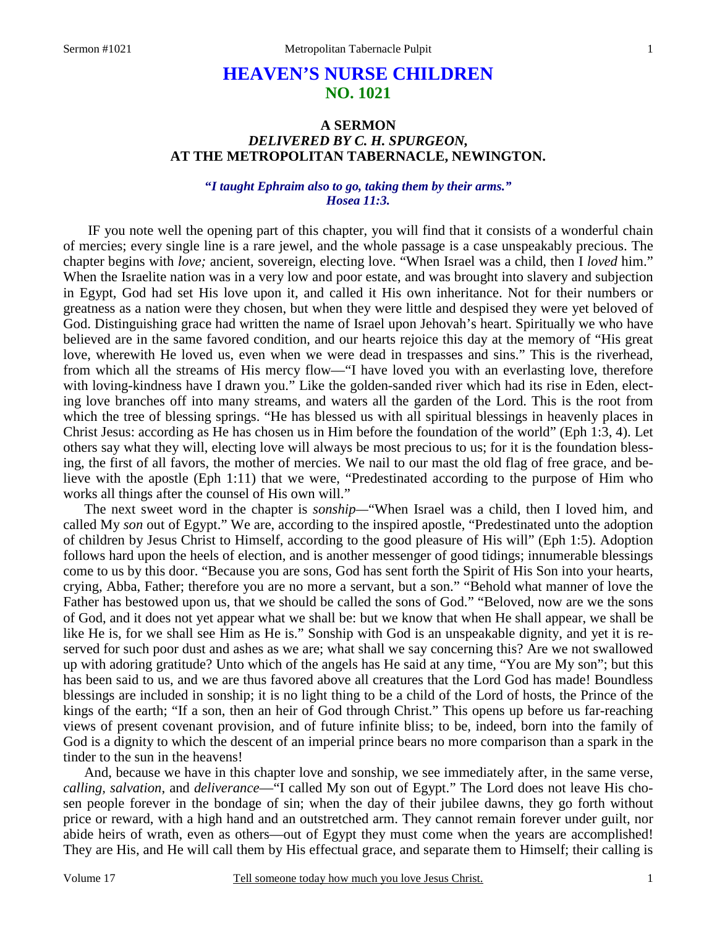# **HEAVEN'S NURSE CHILDREN NO. 1021**

# **A SERMON**  *DELIVERED BY C. H. SPURGEON,*  **AT THE METROPOLITAN TABERNACLE, NEWINGTON.**

# **"***I taught Ephraim also to go, taking them by their arms." Hosea 11:3.*

IF you note well the opening part of this chapter, you will find that it consists of a wonderful chain of mercies; every single line is a rare jewel, and the whole passage is a case unspeakably precious. The chapter begins with *love;* ancient, sovereign, electing love. "When Israel was a child, then I *loved* him." When the Israelite nation was in a very low and poor estate, and was brought into slavery and subjection in Egypt, God had set His love upon it, and called it His own inheritance. Not for their numbers or greatness as a nation were they chosen, but when they were little and despised they were yet beloved of God. Distinguishing grace had written the name of Israel upon Jehovah's heart. Spiritually we who have believed are in the same favored condition, and our hearts rejoice this day at the memory of "His great love, wherewith He loved us, even when we were dead in trespasses and sins." This is the riverhead, from which all the streams of His mercy flow—"I have loved you with an everlasting love, therefore with loving-kindness have I drawn you." Like the golden-sanded river which had its rise in Eden, electing love branches off into many streams, and waters all the garden of the Lord. This is the root from which the tree of blessing springs. "He has blessed us with all spiritual blessings in heavenly places in Christ Jesus: according as He has chosen us in Him before the foundation of the world" (Eph 1:3, 4). Let others say what they will, electing love will always be most precious to us; for it is the foundation blessing, the first of all favors, the mother of mercies. We nail to our mast the old flag of free grace, and believe with the apostle (Eph 1:11) that we were, "Predestinated according to the purpose of Him who works all things after the counsel of His own will."

The next sweet word in the chapter is *sonship—*"When Israel was a child, then I loved him, and called My *son* out of Egypt." We are, according to the inspired apostle, "Predestinated unto the adoption of children by Jesus Christ to Himself, according to the good pleasure of His will" (Eph 1:5). Adoption follows hard upon the heels of election, and is another messenger of good tidings; innumerable blessings come to us by this door. "Because you are sons, God has sent forth the Spirit of His Son into your hearts, crying, Abba, Father; therefore you are no more a servant, but a son." "Behold what manner of love the Father has bestowed upon us, that we should be called the sons of God." "Beloved, now are we the sons of God, and it does not yet appear what we shall be: but we know that when He shall appear, we shall be like He is, for we shall see Him as He is." Sonship with God is an unspeakable dignity, and yet it is reserved for such poor dust and ashes as we are; what shall we say concerning this? Are we not swallowed up with adoring gratitude? Unto which of the angels has He said at any time, "You are My son"; but this has been said to us, and we are thus favored above all creatures that the Lord God has made! Boundless blessings are included in sonship; it is no light thing to be a child of the Lord of hosts, the Prince of the kings of the earth; "If a son, then an heir of God through Christ." This opens up before us far-reaching views of present covenant provision, and of future infinite bliss; to be, indeed, born into the family of God is a dignity to which the descent of an imperial prince bears no more comparison than a spark in the tinder to the sun in the heavens!

And, because we have in this chapter love and sonship, we see immediately after, in the same verse, *calling, salvation*, and *deliverance*—"I called My son out of Egypt." The Lord does not leave His chosen people forever in the bondage of sin; when the day of their jubilee dawns, they go forth without price or reward, with a high hand and an outstretched arm. They cannot remain forever under guilt, nor abide heirs of wrath, even as others—out of Egypt they must come when the years are accomplished! They are His, and He will call them by His effectual grace, and separate them to Himself; their calling is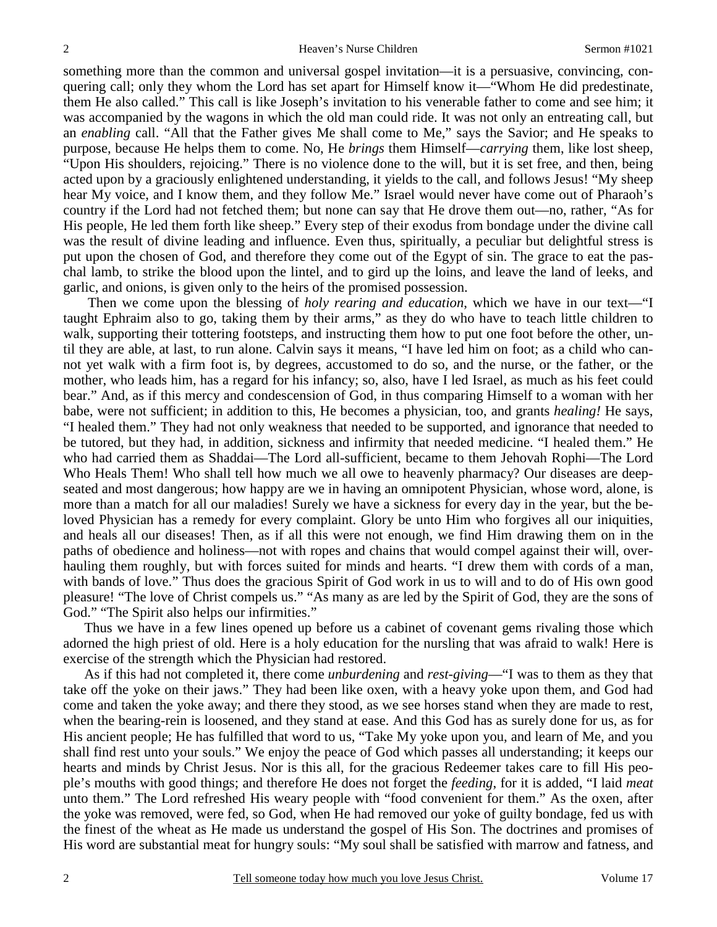something more than the common and universal gospel invitation—it is a persuasive, convincing, conquering call; only they whom the Lord has set apart for Himself know it—"Whom He did predestinate, them He also called." This call is like Joseph's invitation to his venerable father to come and see him; it was accompanied by the wagons in which the old man could ride. It was not only an entreating call, but an *enabling* call. "All that the Father gives Me shall come to Me," says the Savior; and He speaks to purpose, because He helps them to come. No, He *brings* them Himself—*carrying* them, like lost sheep, "Upon His shoulders, rejoicing." There is no violence done to the will, but it is set free, and then, being acted upon by a graciously enlightened understanding, it yields to the call, and follows Jesus! "My sheep hear My voice, and I know them, and they follow Me." Israel would never have come out of Pharaoh's country if the Lord had not fetched them; but none can say that He drove them out—no, rather, "As for His people, He led them forth like sheep." Every step of their exodus from bondage under the divine call was the result of divine leading and influence. Even thus, spiritually, a peculiar but delightful stress is put upon the chosen of God, and therefore they come out of the Egypt of sin. The grace to eat the paschal lamb, to strike the blood upon the lintel, and to gird up the loins, and leave the land of leeks, and garlic, and onions, is given only to the heirs of the promised possession.

 Then we come upon the blessing of *holy rearing and education*, which we have in our text—"I taught Ephraim also to go, taking them by their arms," as they do who have to teach little children to walk, supporting their tottering footsteps, and instructing them how to put one foot before the other, until they are able, at last, to run alone. Calvin says it means, "I have led him on foot; as a child who cannot yet walk with a firm foot is, by degrees, accustomed to do so, and the nurse, or the father, or the mother, who leads him, has a regard for his infancy; so, also, have I led Israel, as much as his feet could bear." And, as if this mercy and condescension of God, in thus comparing Himself to a woman with her babe, were not sufficient; in addition to this, He becomes a physician, too, and grants *healing!* He says, "I healed them." They had not only weakness that needed to be supported, and ignorance that needed to be tutored, but they had, in addition, sickness and infirmity that needed medicine. "I healed them." He who had carried them as Shaddai—The Lord all-sufficient, became to them Jehovah Rophi—The Lord Who Heals Them! Who shall tell how much we all owe to heavenly pharmacy? Our diseases are deepseated and most dangerous; how happy are we in having an omnipotent Physician, whose word, alone, is more than a match for all our maladies! Surely we have a sickness for every day in the year, but the beloved Physician has a remedy for every complaint. Glory be unto Him who forgives all our iniquities, and heals all our diseases! Then, as if all this were not enough, we find Him drawing them on in the paths of obedience and holiness—not with ropes and chains that would compel against their will, overhauling them roughly, but with forces suited for minds and hearts. "I drew them with cords of a man, with bands of love." Thus does the gracious Spirit of God work in us to will and to do of His own good pleasure! "The love of Christ compels us." "As many as are led by the Spirit of God, they are the sons of God." "The Spirit also helps our infirmities."

Thus we have in a few lines opened up before us a cabinet of covenant gems rivaling those which adorned the high priest of old. Here is a holy education for the nursling that was afraid to walk! Here is exercise of the strength which the Physician had restored.

As if this had not completed it, there come *unburdening* and *rest-giving*—"I was to them as they that take off the yoke on their jaws." They had been like oxen, with a heavy yoke upon them, and God had come and taken the yoke away; and there they stood, as we see horses stand when they are made to rest, when the bearing-rein is loosened, and they stand at ease. And this God has as surely done for us, as for His ancient people; He has fulfilled that word to us, "Take My yoke upon you, and learn of Me, and you shall find rest unto your souls." We enjoy the peace of God which passes all understanding; it keeps our hearts and minds by Christ Jesus. Nor is this all, for the gracious Redeemer takes care to fill His people's mouths with good things; and therefore He does not forget the *feeding*, for it is added, "I laid *meat*  unto them." The Lord refreshed His weary people with "food convenient for them." As the oxen, after the yoke was removed, were fed, so God, when He had removed our yoke of guilty bondage, fed us with the finest of the wheat as He made us understand the gospel of His Son. The doctrines and promises of His word are substantial meat for hungry souls: "My soul shall be satisfied with marrow and fatness, and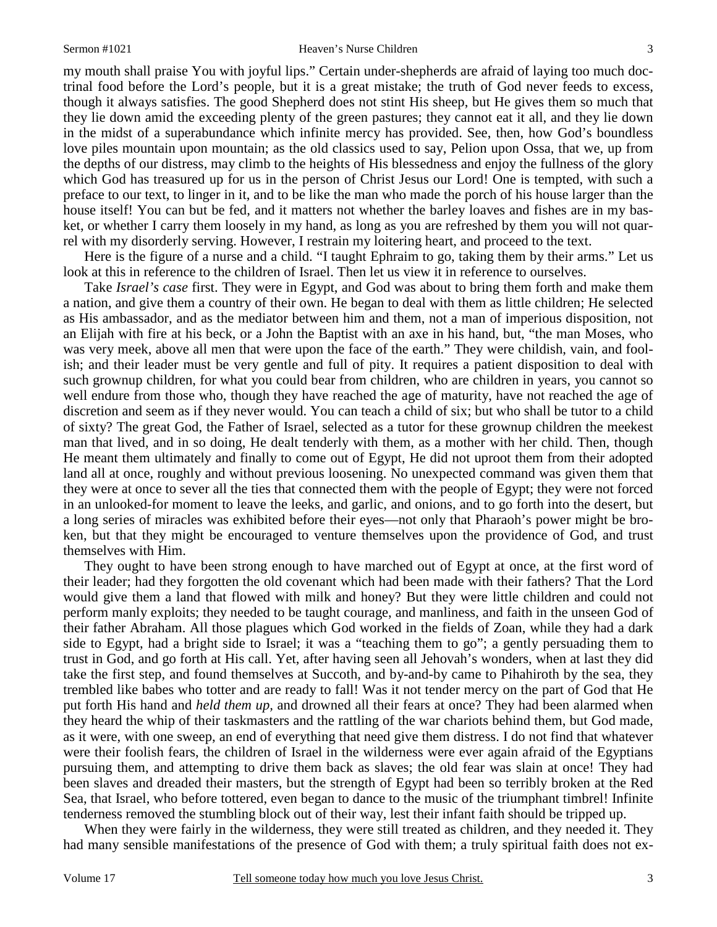my mouth shall praise You with joyful lips." Certain under-shepherds are afraid of laying too much doctrinal food before the Lord's people, but it is a great mistake; the truth of God never feeds to excess, though it always satisfies. The good Shepherd does not stint His sheep, but He gives them so much that they lie down amid the exceeding plenty of the green pastures; they cannot eat it all, and they lie down in the midst of a superabundance which infinite mercy has provided. See, then, how God's boundless love piles mountain upon mountain; as the old classics used to say, Pelion upon Ossa, that we, up from the depths of our distress, may climb to the heights of His blessedness and enjoy the fullness of the glory which God has treasured up for us in the person of Christ Jesus our Lord! One is tempted, with such a preface to our text, to linger in it, and to be like the man who made the porch of his house larger than the house itself! You can but be fed, and it matters not whether the barley loaves and fishes are in my basket, or whether I carry them loosely in my hand, as long as you are refreshed by them you will not quarrel with my disorderly serving. However, I restrain my loitering heart, and proceed to the text.

Here is the figure of a nurse and a child. "I taught Ephraim to go, taking them by their arms." Let us look at this in reference to the children of Israel. Then let us view it in reference to ourselves.

Take *Israel's case* first. They were in Egypt, and God was about to bring them forth and make them a nation, and give them a country of their own. He began to deal with them as little children; He selected as His ambassador, and as the mediator between him and them, not a man of imperious disposition, not an Elijah with fire at his beck, or a John the Baptist with an axe in his hand, but, "the man Moses, who was very meek, above all men that were upon the face of the earth." They were childish, vain, and foolish; and their leader must be very gentle and full of pity. It requires a patient disposition to deal with such grownup children, for what you could bear from children, who are children in years, you cannot so well endure from those who, though they have reached the age of maturity, have not reached the age of discretion and seem as if they never would. You can teach a child of six; but who shall be tutor to a child of sixty? The great God, the Father of Israel, selected as a tutor for these grownup children the meekest man that lived, and in so doing, He dealt tenderly with them, as a mother with her child. Then, though He meant them ultimately and finally to come out of Egypt, He did not uproot them from their adopted land all at once, roughly and without previous loosening. No unexpected command was given them that they were at once to sever all the ties that connected them with the people of Egypt; they were not forced in an unlooked-for moment to leave the leeks, and garlic, and onions, and to go forth into the desert, but a long series of miracles was exhibited before their eyes—not only that Pharaoh's power might be broken, but that they might be encouraged to venture themselves upon the providence of God, and trust themselves with Him.

They ought to have been strong enough to have marched out of Egypt at once, at the first word of their leader; had they forgotten the old covenant which had been made with their fathers? That the Lord would give them a land that flowed with milk and honey? But they were little children and could not perform manly exploits; they needed to be taught courage, and manliness, and faith in the unseen God of their father Abraham. All those plagues which God worked in the fields of Zoan, while they had a dark side to Egypt, had a bright side to Israel; it was a "teaching them to go"; a gently persuading them to trust in God, and go forth at His call. Yet, after having seen all Jehovah's wonders, when at last they did take the first step, and found themselves at Succoth, and by-and-by came to Pihahiroth by the sea, they trembled like babes who totter and are ready to fall! Was it not tender mercy on the part of God that He put forth His hand and *held them up,* and drowned all their fears at once? They had been alarmed when they heard the whip of their taskmasters and the rattling of the war chariots behind them, but God made, as it were, with one sweep, an end of everything that need give them distress. I do not find that whatever were their foolish fears, the children of Israel in the wilderness were ever again afraid of the Egyptians pursuing them, and attempting to drive them back as slaves; the old fear was slain at once! They had been slaves and dreaded their masters, but the strength of Egypt had been so terribly broken at the Red Sea, that Israel, who before tottered, even began to dance to the music of the triumphant timbrel! Infinite tenderness removed the stumbling block out of their way, lest their infant faith should be tripped up.

When they were fairly in the wilderness, they were still treated as children, and they needed it. They had many sensible manifestations of the presence of God with them; a truly spiritual faith does not ex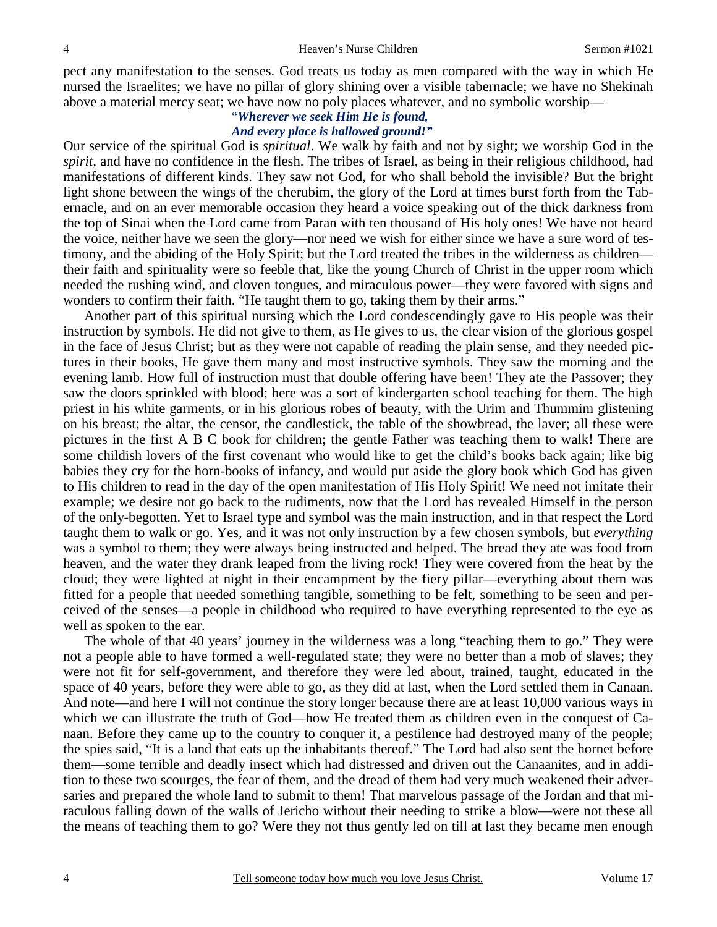pect any manifestation to the senses. God treats us today as men compared with the way in which He nursed the Israelites; we have no pillar of glory shining over a visible tabernacle; we have no Shekinah above a material mercy seat; we have now no poly places whatever, and no symbolic worship—

### "*Wherever we seek Him He is found, And every place is hallowed ground!"*

Our service of the spiritual God is *spiritual*. We walk by faith and not by sight; we worship God in the *spirit,* and have no confidence in the flesh. The tribes of Israel, as being in their religious childhood, had manifestations of different kinds. They saw not God, for who shall behold the invisible? But the bright light shone between the wings of the cherubim, the glory of the Lord at times burst forth from the Tabernacle, and on an ever memorable occasion they heard a voice speaking out of the thick darkness from the top of Sinai when the Lord came from Paran with ten thousand of His holy ones! We have not heard the voice, neither have we seen the glory—nor need we wish for either since we have a sure word of testimony, and the abiding of the Holy Spirit; but the Lord treated the tribes in the wilderness as children their faith and spirituality were so feeble that, like the young Church of Christ in the upper room which needed the rushing wind, and cloven tongues, and miraculous power—they were favored with signs and wonders to confirm their faith. "He taught them to go, taking them by their arms."

Another part of this spiritual nursing which the Lord condescendingly gave to His people was their instruction by symbols. He did not give to them, as He gives to us, the clear vision of the glorious gospel in the face of Jesus Christ; but as they were not capable of reading the plain sense, and they needed pictures in their books, He gave them many and most instructive symbols. They saw the morning and the evening lamb. How full of instruction must that double offering have been! They ate the Passover; they saw the doors sprinkled with blood; here was a sort of kindergarten school teaching for them. The high priest in his white garments, or in his glorious robes of beauty, with the Urim and Thummim glistening on his breast; the altar, the censor, the candlestick, the table of the showbread, the laver; all these were pictures in the first A B C book for children; the gentle Father was teaching them to walk! There are some childish lovers of the first covenant who would like to get the child's books back again; like big babies they cry for the horn-books of infancy, and would put aside the glory book which God has given to His children to read in the day of the open manifestation of His Holy Spirit! We need not imitate their example; we desire not go back to the rudiments, now that the Lord has revealed Himself in the person of the only-begotten. Yet to Israel type and symbol was the main instruction, and in that respect the Lord taught them to walk or go. Yes, and it was not only instruction by a few chosen symbols, but *everything* was a symbol to them; they were always being instructed and helped. The bread they ate was food from heaven, and the water they drank leaped from the living rock! They were covered from the heat by the cloud; they were lighted at night in their encampment by the fiery pillar—everything about them was fitted for a people that needed something tangible, something to be felt, something to be seen and perceived of the senses—a people in childhood who required to have everything represented to the eye as well as spoken to the ear.

The whole of that 40 years' journey in the wilderness was a long "teaching them to go." They were not a people able to have formed a well-regulated state; they were no better than a mob of slaves; they were not fit for self-government, and therefore they were led about, trained, taught, educated in the space of 40 years, before they were able to go, as they did at last, when the Lord settled them in Canaan. And note—and here I will not continue the story longer because there are at least 10,000 various ways in which we can illustrate the truth of God—how He treated them as children even in the conquest of Canaan. Before they came up to the country to conquer it, a pestilence had destroyed many of the people; the spies said, "It is a land that eats up the inhabitants thereof." The Lord had also sent the hornet before them—some terrible and deadly insect which had distressed and driven out the Canaanites, and in addition to these two scourges, the fear of them, and the dread of them had very much weakened their adversaries and prepared the whole land to submit to them! That marvelous passage of the Jordan and that miraculous falling down of the walls of Jericho without their needing to strike a blow—were not these all the means of teaching them to go? Were they not thus gently led on till at last they became men enough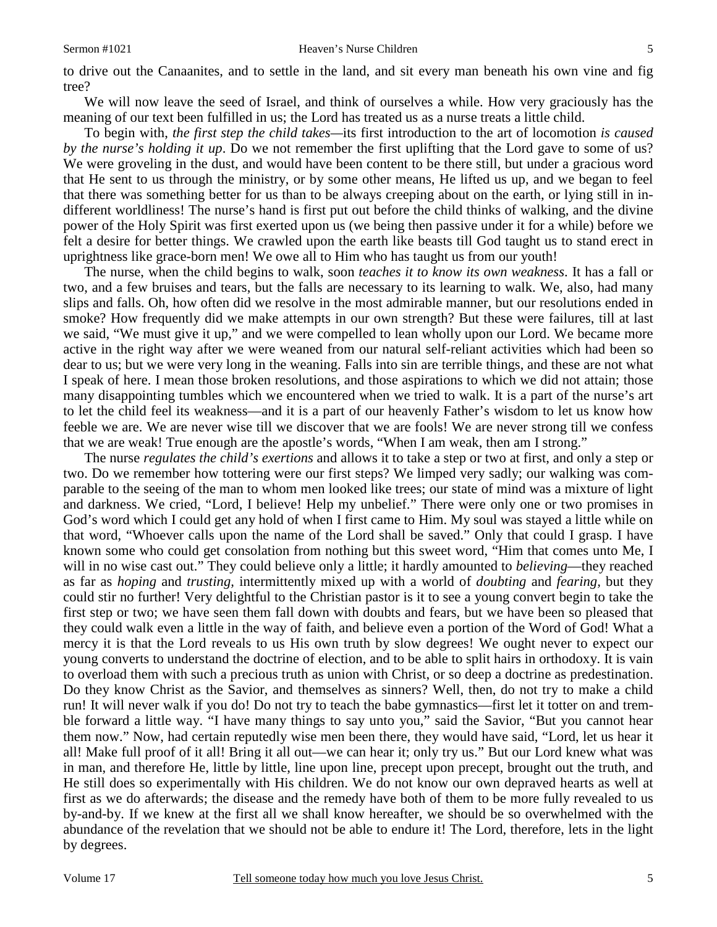to drive out the Canaanites, and to settle in the land, and sit every man beneath his own vine and fig tree?

We will now leave the seed of Israel, and think of ourselves a while. How very graciously has the meaning of our text been fulfilled in us; the Lord has treated us as a nurse treats a little child.

To begin with, *the first step the child takes—*its first introduction to the art of locomotion *is caused by the nurse's holding it up*. Do we not remember the first uplifting that the Lord gave to some of us? We were groveling in the dust, and would have been content to be there still, but under a gracious word that He sent to us through the ministry, or by some other means, He lifted us up, and we began to feel that there was something better for us than to be always creeping about on the earth, or lying still in indifferent worldliness! The nurse's hand is first put out before the child thinks of walking, and the divine power of the Holy Spirit was first exerted upon us (we being then passive under it for a while) before we felt a desire for better things. We crawled upon the earth like beasts till God taught us to stand erect in uprightness like grace-born men! We owe all to Him who has taught us from our youth!

The nurse, when the child begins to walk, soon *teaches it to know its own weakness*. It has a fall or two, and a few bruises and tears, but the falls are necessary to its learning to walk. We, also, had many slips and falls. Oh, how often did we resolve in the most admirable manner, but our resolutions ended in smoke? How frequently did we make attempts in our own strength? But these were failures, till at last we said, "We must give it up," and we were compelled to lean wholly upon our Lord. We became more active in the right way after we were weaned from our natural self-reliant activities which had been so dear to us; but we were very long in the weaning. Falls into sin are terrible things, and these are not what I speak of here. I mean those broken resolutions, and those aspirations to which we did not attain; those many disappointing tumbles which we encountered when we tried to walk. It is a part of the nurse's art to let the child feel its weakness—and it is a part of our heavenly Father's wisdom to let us know how feeble we are. We are never wise till we discover that we are fools! We are never strong till we confess that we are weak! True enough are the apostle's words, "When I am weak, then am I strong."

The nurse *regulates the child's exertions* and allows it to take a step or two at first, and only a step or two. Do we remember how tottering were our first steps? We limped very sadly; our walking was comparable to the seeing of the man to whom men looked like trees; our state of mind was a mixture of light and darkness. We cried, "Lord, I believe! Help my unbelief." There were only one or two promises in God's word which I could get any hold of when I first came to Him. My soul was stayed a little while on that word, "Whoever calls upon the name of the Lord shall be saved." Only that could I grasp. I have known some who could get consolation from nothing but this sweet word, "Him that comes unto Me, I will in no wise cast out." They could believe only a little; it hardly amounted to *believing*—they reached as far as *hoping* and *trusting,* intermittently mixed up with a world of *doubting* and *fearing,* but they could stir no further! Very delightful to the Christian pastor is it to see a young convert begin to take the first step or two; we have seen them fall down with doubts and fears, but we have been so pleased that they could walk even a little in the way of faith, and believe even a portion of the Word of God! What a mercy it is that the Lord reveals to us His own truth by slow degrees! We ought never to expect our young converts to understand the doctrine of election, and to be able to split hairs in orthodoxy. It is vain to overload them with such a precious truth as union with Christ, or so deep a doctrine as predestination. Do they know Christ as the Savior, and themselves as sinners? Well, then, do not try to make a child run! It will never walk if you do! Do not try to teach the babe gymnastics—first let it totter on and tremble forward a little way. "I have many things to say unto you," said the Savior, "But you cannot hear them now." Now, had certain reputedly wise men been there, they would have said, "Lord, let us hear it all! Make full proof of it all! Bring it all out—we can hear it; only try us." But our Lord knew what was in man, and therefore He, little by little, line upon line, precept upon precept, brought out the truth, and He still does so experimentally with His children. We do not know our own depraved hearts as well at first as we do afterwards; the disease and the remedy have both of them to be more fully revealed to us by-and-by. If we knew at the first all we shall know hereafter, we should be so overwhelmed with the abundance of the revelation that we should not be able to endure it! The Lord, therefore, lets in the light by degrees.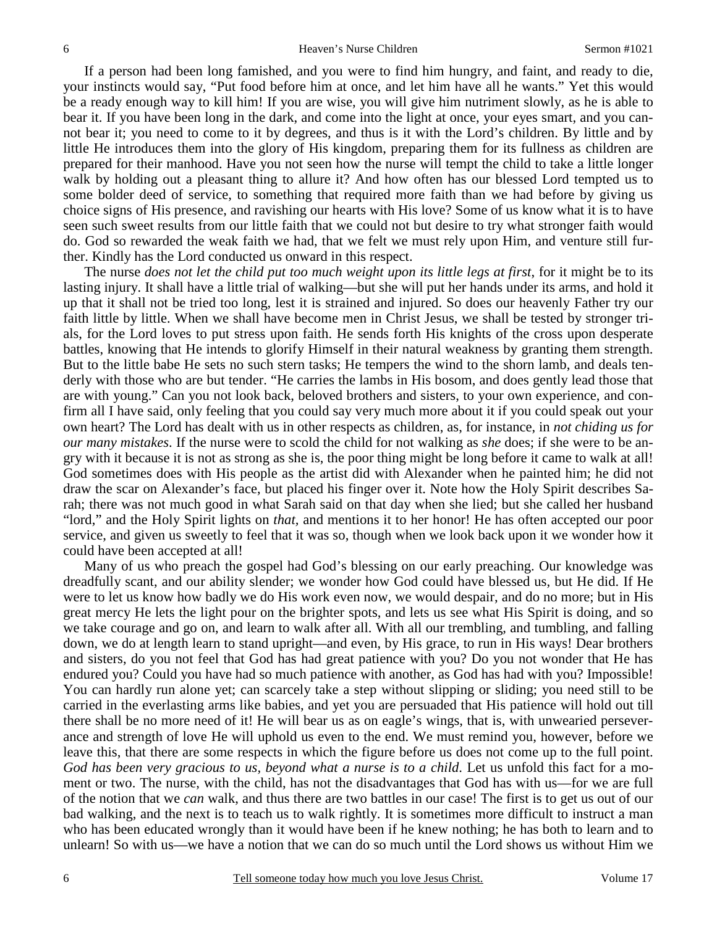If a person had been long famished, and you were to find him hungry, and faint, and ready to die, your instincts would say, "Put food before him at once, and let him have all he wants." Yet this would be a ready enough way to kill him! If you are wise, you will give him nutriment slowly, as he is able to bear it. If you have been long in the dark, and come into the light at once, your eyes smart, and you cannot bear it; you need to come to it by degrees, and thus is it with the Lord's children. By little and by little He introduces them into the glory of His kingdom, preparing them for its fullness as children are prepared for their manhood. Have you not seen how the nurse will tempt the child to take a little longer walk by holding out a pleasant thing to allure it? And how often has our blessed Lord tempted us to some bolder deed of service, to something that required more faith than we had before by giving us choice signs of His presence, and ravishing our hearts with His love? Some of us know what it is to have seen such sweet results from our little faith that we could not but desire to try what stronger faith would do. God so rewarded the weak faith we had, that we felt we must rely upon Him, and venture still further. Kindly has the Lord conducted us onward in this respect.

The nurse *does not let the child put too much weight upon its little legs at first*, for it might be to its lasting injury. It shall have a little trial of walking—but she will put her hands under its arms, and hold it up that it shall not be tried too long, lest it is strained and injured. So does our heavenly Father try our faith little by little. When we shall have become men in Christ Jesus, we shall be tested by stronger trials, for the Lord loves to put stress upon faith. He sends forth His knights of the cross upon desperate battles, knowing that He intends to glorify Himself in their natural weakness by granting them strength. But to the little babe He sets no such stern tasks; He tempers the wind to the shorn lamb, and deals tenderly with those who are but tender. "He carries the lambs in His bosom, and does gently lead those that are with young." Can you not look back, beloved brothers and sisters, to your own experience, and confirm all I have said, only feeling that you could say very much more about it if you could speak out your own heart? The Lord has dealt with us in other respects as children, as, for instance, in *not chiding us for our many mistakes*. If the nurse were to scold the child for not walking as *she* does; if she were to be angry with it because it is not as strong as she is, the poor thing might be long before it came to walk at all! God sometimes does with His people as the artist did with Alexander when he painted him; he did not draw the scar on Alexander's face, but placed his finger over it. Note how the Holy Spirit describes Sarah; there was not much good in what Sarah said on that day when she lied; but she called her husband "lord," and the Holy Spirit lights on *that,* and mentions it to her honor! He has often accepted our poor service, and given us sweetly to feel that it was so, though when we look back upon it we wonder how it could have been accepted at all!

Many of us who preach the gospel had God's blessing on our early preaching. Our knowledge was dreadfully scant, and our ability slender; we wonder how God could have blessed us, but He did. If He were to let us know how badly we do His work even now, we would despair, and do no more; but in His great mercy He lets the light pour on the brighter spots, and lets us see what His Spirit is doing, and so we take courage and go on, and learn to walk after all. With all our trembling, and tumbling, and falling down, we do at length learn to stand upright—and even, by His grace, to run in His ways! Dear brothers and sisters, do you not feel that God has had great patience with you? Do you not wonder that He has endured you? Could you have had so much patience with another, as God has had with you? Impossible! You can hardly run alone yet; can scarcely take a step without slipping or sliding; you need still to be carried in the everlasting arms like babies, and yet you are persuaded that His patience will hold out till there shall be no more need of it! He will bear us as on eagle's wings, that is, with unwearied perseverance and strength of love He will uphold us even to the end. We must remind you, however, before we leave this, that there are some respects in which the figure before us does not come up to the full point. *God has been very gracious to us, beyond what a nurse is to a child*. Let us unfold this fact for a moment or two. The nurse, with the child, has not the disadvantages that God has with us—for we are full of the notion that we *can* walk, and thus there are two battles in our case! The first is to get us out of our bad walking, and the next is to teach us to walk rightly. It is sometimes more difficult to instruct a man who has been educated wrongly than it would have been if he knew nothing; he has both to learn and to unlearn! So with us—we have a notion that we can do so much until the Lord shows us without Him we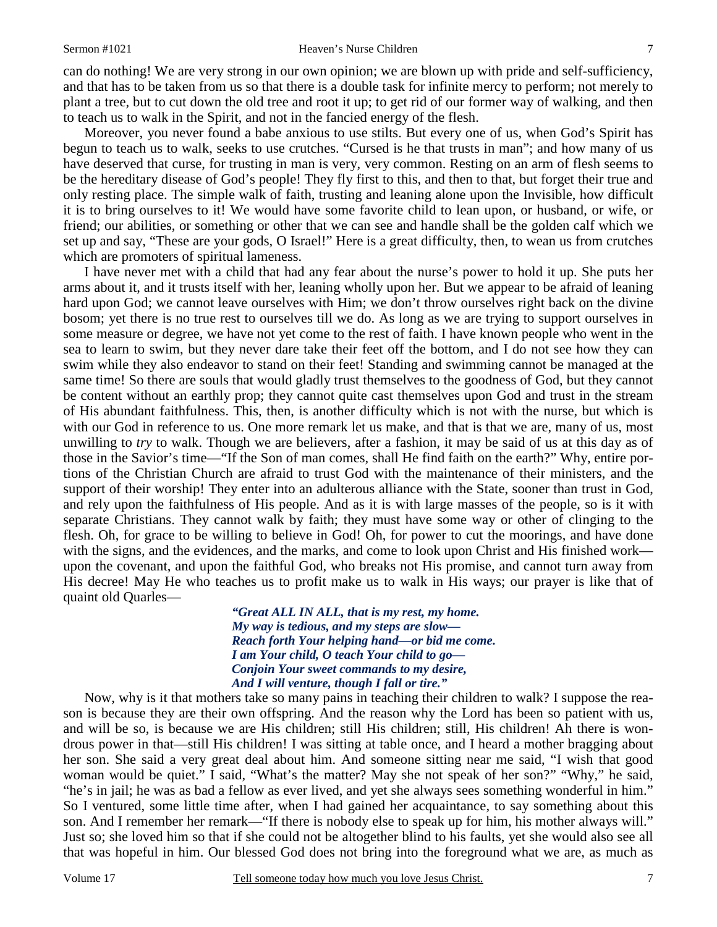#### Sermon #1021 Heaven's Nurse Children

can do nothing! We are very strong in our own opinion; we are blown up with pride and self-sufficiency, and that has to be taken from us so that there is a double task for infinite mercy to perform; not merely to plant a tree, but to cut down the old tree and root it up; to get rid of our former way of walking, and then to teach us to walk in the Spirit, and not in the fancied energy of the flesh.

Moreover, you never found a babe anxious to use stilts. But every one of us, when God's Spirit has begun to teach us to walk, seeks to use crutches. "Cursed is he that trusts in man"; and how many of us have deserved that curse, for trusting in man is very, very common. Resting on an arm of flesh seems to be the hereditary disease of God's people! They fly first to this, and then to that, but forget their true and only resting place. The simple walk of faith, trusting and leaning alone upon the Invisible, how difficult it is to bring ourselves to it! We would have some favorite child to lean upon, or husband, or wife, or friend; our abilities, or something or other that we can see and handle shall be the golden calf which we set up and say, "These are your gods, O Israel!" Here is a great difficulty, then, to wean us from crutches which are promoters of spiritual lameness.

I have never met with a child that had any fear about the nurse's power to hold it up. She puts her arms about it, and it trusts itself with her, leaning wholly upon her. But we appear to be afraid of leaning hard upon God; we cannot leave ourselves with Him; we don't throw ourselves right back on the divine bosom; yet there is no true rest to ourselves till we do. As long as we are trying to support ourselves in some measure or degree, we have not yet come to the rest of faith. I have known people who went in the sea to learn to swim, but they never dare take their feet off the bottom, and I do not see how they can swim while they also endeavor to stand on their feet! Standing and swimming cannot be managed at the same time! So there are souls that would gladly trust themselves to the goodness of God, but they cannot be content without an earthly prop; they cannot quite cast themselves upon God and trust in the stream of His abundant faithfulness. This, then, is another difficulty which is not with the nurse, but which is with our God in reference to us. One more remark let us make, and that is that we are, many of us, most unwilling to *try* to walk. Though we are believers, after a fashion, it may be said of us at this day as of those in the Savior's time—"If the Son of man comes, shall He find faith on the earth?" Why, entire portions of the Christian Church are afraid to trust God with the maintenance of their ministers, and the support of their worship! They enter into an adulterous alliance with the State, sooner than trust in God, and rely upon the faithfulness of His people. And as it is with large masses of the people, so is it with separate Christians. They cannot walk by faith; they must have some way or other of clinging to the flesh. Oh, for grace to be willing to believe in God! Oh, for power to cut the moorings, and have done with the signs, and the evidences, and the marks, and come to look upon Christ and His finished work upon the covenant, and upon the faithful God, who breaks not His promise, and cannot turn away from His decree! May He who teaches us to profit make us to walk in His ways; our prayer is like that of quaint old Quarles—

> *"Great ALL IN ALL, that is my rest, my home. My way is tedious, and my steps are slow— Reach forth Your helping hand—or bid me come. I am Your child, O teach Your child to go— Conjoin Your sweet commands to my desire, And I will venture, though I fall or tire."*

Now, why is it that mothers take so many pains in teaching their children to walk? I suppose the reason is because they are their own offspring. And the reason why the Lord has been so patient with us, and will be so, is because we are His children; still His children; still, His children! Ah there is wondrous power in that—still His children! I was sitting at table once, and I heard a mother bragging about her son. She said a very great deal about him. And someone sitting near me said, "I wish that good woman would be quiet." I said, "What's the matter? May she not speak of her son?" "Why," he said, "he's in jail; he was as bad a fellow as ever lived, and yet she always sees something wonderful in him." So I ventured, some little time after, when I had gained her acquaintance, to say something about this son. And I remember her remark—"If there is nobody else to speak up for him, his mother always will." Just so; she loved him so that if she could not be altogether blind to his faults, yet she would also see all that was hopeful in him. Our blessed God does not bring into the foreground what we are, as much as